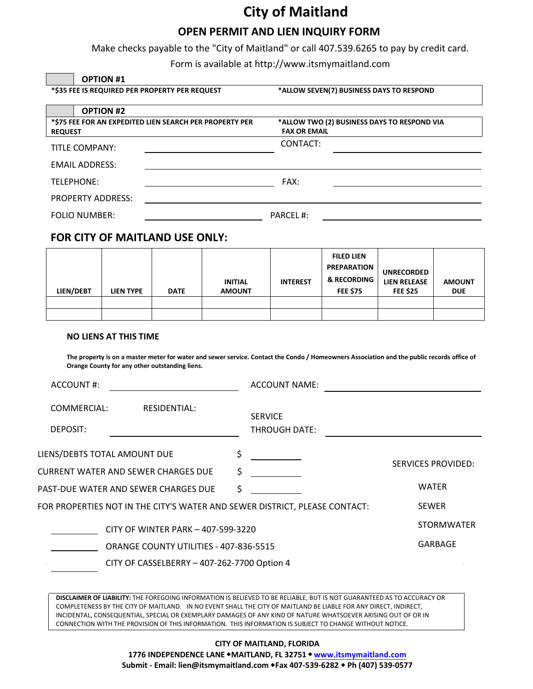# **City of Maitland**

### **OPEN PERMIT AND LIEN INQUIRY FORM**

Make checks payable to the "City of Maitland" or call 407.539.6265 to pay by credit card.

Form is available at <http://www.itsmymaitland.com>

| <b>OPTION #1</b>                               |                                                         |                                                                    |  |
|------------------------------------------------|---------------------------------------------------------|--------------------------------------------------------------------|--|
| *\$35 FEE IS REQUIRED PER PROPERTY PER REQUEST |                                                         | *ALLOW SEVEN(7) BUSINESS DAYS TO RESPOND                           |  |
| <b>OPTION #2</b>                               |                                                         |                                                                    |  |
| <b>REQUEST</b>                                 | *\$75 FEE FOR AN EXPEDITED LIEN SEARCH PER PROPERTY PER | *ALLOW TWO (2) BUSINESS DAYS TO RESPOND VIA<br><b>FAX OR EMAIL</b> |  |
| TITLE COMPANY:                                 |                                                         | CONTACT:                                                           |  |
| <b>EMAIL ADDRESS:</b>                          |                                                         |                                                                    |  |
| TELEPHONE:                                     |                                                         | FAX:                                                               |  |
| <b>PROPERTY ADDRESS:</b>                       |                                                         |                                                                    |  |
| <b>FOLIO NUMBER:</b>                           |                                                         | <b>PARCEL#:</b>                                                    |  |
|                                                |                                                         |                                                                    |  |

### **FOR CITY OF MAITLAND USE ONLY:**

| LIEN/DEBT | <b>LIEN TYPE</b> | <b>DATE</b> | <b>INITIAL</b><br><b>AMOUNT</b> | <b>INTEREST</b> | <b>FILED LIEN</b><br><b>PREPARATION</b><br>& RECORDING<br><b>FEE \$75</b> | <b>UNRECORDED</b><br><b>LIEN RELEASE</b><br><b>FEE \$25</b> | <b>AMOUNT</b><br><b>DUE</b> |
|-----------|------------------|-------------|---------------------------------|-----------------|---------------------------------------------------------------------------|-------------------------------------------------------------|-----------------------------|
|           |                  |             |                                 |                 |                                                                           |                                                             |                             |
|           |                  |             |                                 |                 |                                                                           |                                                             |                             |

#### **NO LIENS AT THIS TIME**

**The property is on a master meter for water and sewer service. Contact the Condo / Homeowners Association and the public records office of Orange County for any other outstanding liens.**

| ACCOUNT#:               |                                                                            |    | <b>ACCOUNT NAME:</b>            |                           |
|-------------------------|----------------------------------------------------------------------------|----|---------------------------------|---------------------------|
| COMMERCIAL:<br>DEPOSIT: | RESIDENTIAL:                                                               |    | <b>SERVICE</b><br>THROUGH DATE: |                           |
|                         | LIENS/DEBTS TOTAL AMOUNT DUE                                               | \$ |                                 | <b>SERVICES PROVIDED:</b> |
|                         | CURRENT WATER AND SEWER CHARGES DUE                                        | Ś  |                                 |                           |
|                         | PAST-DUE WATER AND SEWER CHARGES DUE                                       | Ś  |                                 | <b>WATER</b>              |
|                         | FOR PROPERTIES NOT IN THE CITY'S WATER AND SEWER DISTRICT, PLEASE CONTACT: |    |                                 | <b>SEWER</b>              |
|                         | CITY OF WINTER PARK - 407-599-3220                                         |    |                                 | <b>STORMWATER</b>         |
|                         | ORANGE COUNTY UTILITIES - 407-836-5515                                     |    |                                 | <b>GARBAGE</b>            |
|                         | CITY OF CASSELBERRY - 407-262-7700 Option 4                                |    |                                 |                           |
|                         |                                                                            |    |                                 |                           |

**DISCLAIMER OF LIABILITY:** THE FOREGOING INFORMATION IS BELIEVED TO BE RELIABLE, BUT IS NOT GUARANTEED AS TO ACCURACY OR COMPLETENESS BY THE CITY OF MAITLAND. IN NO EVENT SHALL THE CITY OF MAITLAND BE LIABLE FOR ANY DIRECT, INDIRECT, INCIDENTAL, CONSEQUENTIAL, SPECIAL OR EXEMPLARY DAMAGES OF ANY KIND OF NATURE WHATSOEVER ARISING OUT OF OR IN CONNECTION WITH THE PROVISION OF THIS INFORMATION. THIS INFORMATION IS SUBJECT TO CHANGE WITHOUT NOTICE.